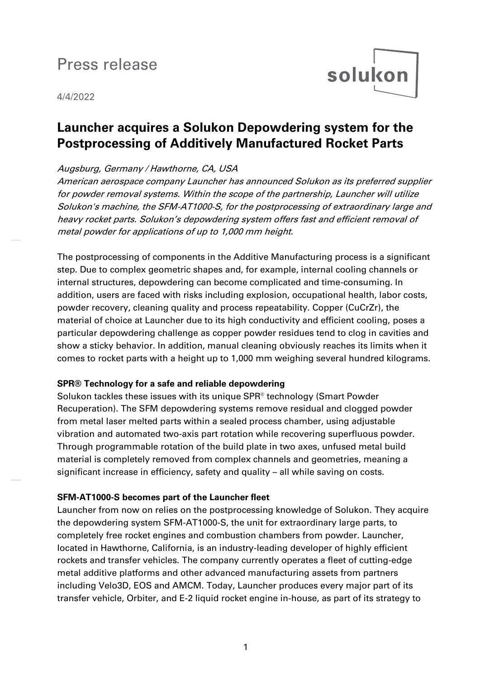# Press release

# 4/4/2022

# **Launcher acquires a Solukon Depowdering system for the Postprocessing of Additively Manufactured Rocket Parts**

solukon

# Augsburg, Germany / Hawthorne, CA, USA

American aerospace company Launcher has announced Solukon as its preferred supplier for powder removal systems. Within the scope of the partnership, Launcher will utilize Solukon's machine, the SFM-AT1000-S, for the postprocessing of extraordinary large and heavy rocket parts. Solukon's depowdering system offers fast and efficient removal of metal powder for applications of up to 1,000 mm height.

The postprocessing of components in the Additive Manufacturing process is a significant step. Due to complex geometric shapes and, for example, internal cooling channels or internal structures, depowdering can become complicated and time-consuming. In addition, users are faced with risks including explosion, occupational health, labor costs, powder recovery, cleaning quality and process repeatability. Copper (CuCrZr), the material of choice at Launcher due to its high conductivity and efficient cooling, poses a particular depowdering challenge as copper powder residues tend to clog in cavities and show a sticky behavior. In addition, manual cleaning obviously reaches its limits when it comes to rocket parts with a height up to 1,000 mm weighing several hundred kilograms.

#### **SPR® Technology for a safe and reliable depowdering**

Solukon tackles these issues with its unique SPR® technology (Smart Powder Recuperation). The SFM depowdering systems remove residual and clogged powder from metal laser melted parts within a sealed process chamber, using adjustable vibration and automated two-axis part rotation while recovering superfluous powder. Through programmable rotation of the build plate in two axes, unfused metal build material is completely removed from complex channels and geometries, meaning a significant increase in efficiency, safety and quality – all while saving on costs.

# **SFM-AT1000-S becomes part of the Launcher fleet**

Launcher from now on relies on the postprocessing knowledge of Solukon. They acquire the depowdering system SFM-AT1000-S, the unit for extraordinary large parts, to completely free rocket engines and combustion chambers from powder. Launcher, located in Hawthorne, California, is an industry-leading developer of highly efficient rockets and transfer vehicles. The company currently operates a fleet of cutting-edge metal additive platforms and other advanced manufacturing assets from partners including Velo3D, EOS and AMCM. Today, Launcher produces every major part of its transfer vehicle, Orbiter, and E-2 liquid rocket engine in-house, as part of its strategy to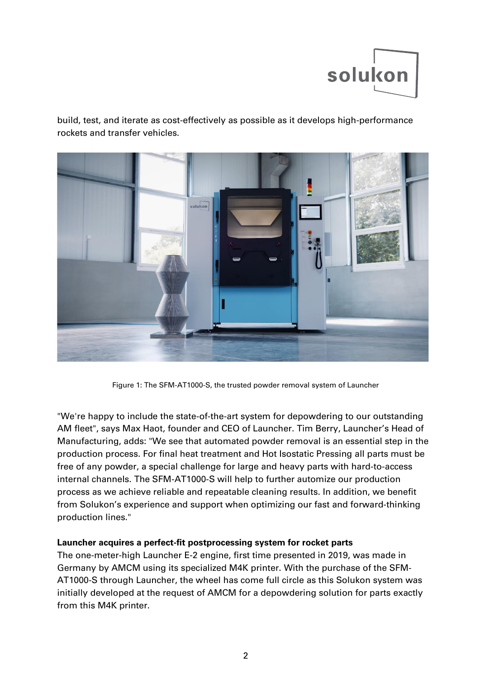

build, test, and iterate as cost-effectively as possible as it develops high-performance rockets and transfer vehicles.



Figure 1: The SFM-AT1000-S, the trusted powder removal system of Launcher

"We're happy to include the state-of-the-art system for depowdering to our outstanding AM fleet", says Max Haot, founder and CEO of Launcher. Tim Berry, Launcher's Head of Manufacturing, adds: "We see that automated powder removal is an essential step in the production process. For final heat treatment and Hot Isostatic Pressing all parts must be free of any powder, a special challenge for large and heavy parts with hard-to-access internal channels. The SFM-AT1000-S will help to further automize our production process as we achieve reliable and repeatable cleaning results. In addition, we benefit from Solukon's experience and support when optimizing our fast and forward-thinking production lines."

#### **Launcher acquires a perfect-fit postprocessing system for rocket parts**

The one-meter-high Launcher E-2 engine, first time presented in 2019, was made in Germany by AMCM using its specialized M4K printer. With the purchase of the SFM-AT1000-S through Launcher, the wheel has come full circle as this Solukon system was initially developed at the request of AMCM for a depowdering solution for parts exactly from this M4K printer.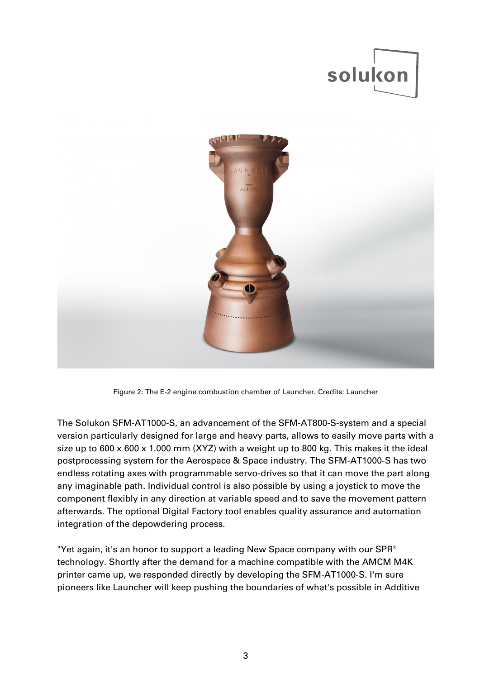



Figure 2: The E-2 engine combustion chamber of Launcher. Credits: Launcher

The Solukon SFM-AT1000-S, an advancement of the SFM-AT800-S-system and a special version particularly designed for large and heavy parts, allows to easily move parts with a size up to 600 x 600 x 1.000 mm (XYZ) with a weight up to 800 kg. This makes it the ideal postprocessing system for the Aerospace & Space industry. The SFM-AT1000-S has two endless rotating axes with programmable servo-drives so that it can move the part along any imaginable path. Individual control is also possible by using a joystick to move the component flexibly in any direction at variable speed and to save the movement pattern afterwards. The optional Digital Factory tool enables quality assurance and automation integration of the depowdering process.

"Yet again, it's an honor to support a leading New Space company with our SPR® technology. Shortly after the demand for a machine compatible with the AMCM M4K printer came up, we responded directly by developing the SFM-AT1000-S. I'm sure pioneers like Launcher will keep pushing the boundaries of what's possible in Additive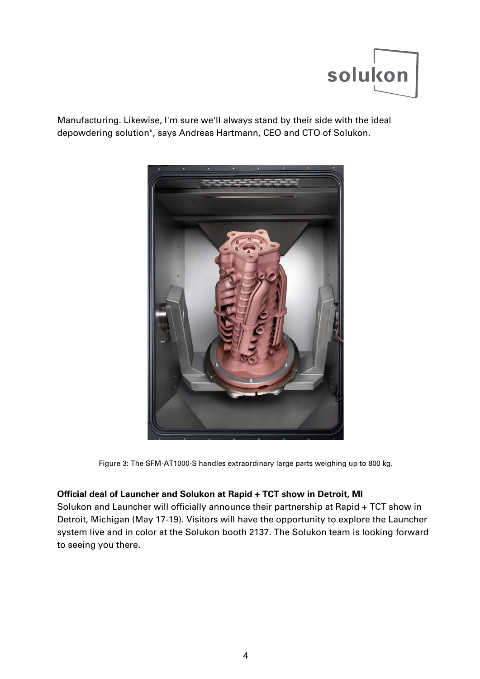

Manufacturing. Likewise, I'm sure we'll always stand by their side with the ideal depowdering solution", says Andreas Hartmann, CEO and CTO of Solukon.



Figure 3: The SFM-AT1000-S handles extraordinary large parts weighing up to 800 kg.

# **Official deal of Launcher and Solukon at Rapid + TCT show in Detroit, MI**

Solukon and Launcher will officially announce their partnership at Rapid + TCT show in Detroit, Michigan (May 17-19). Visitors will have the opportunity to explore the Launcher system live and in color at the Solukon booth 2137. The Solukon team is looking forward to seeing you there.